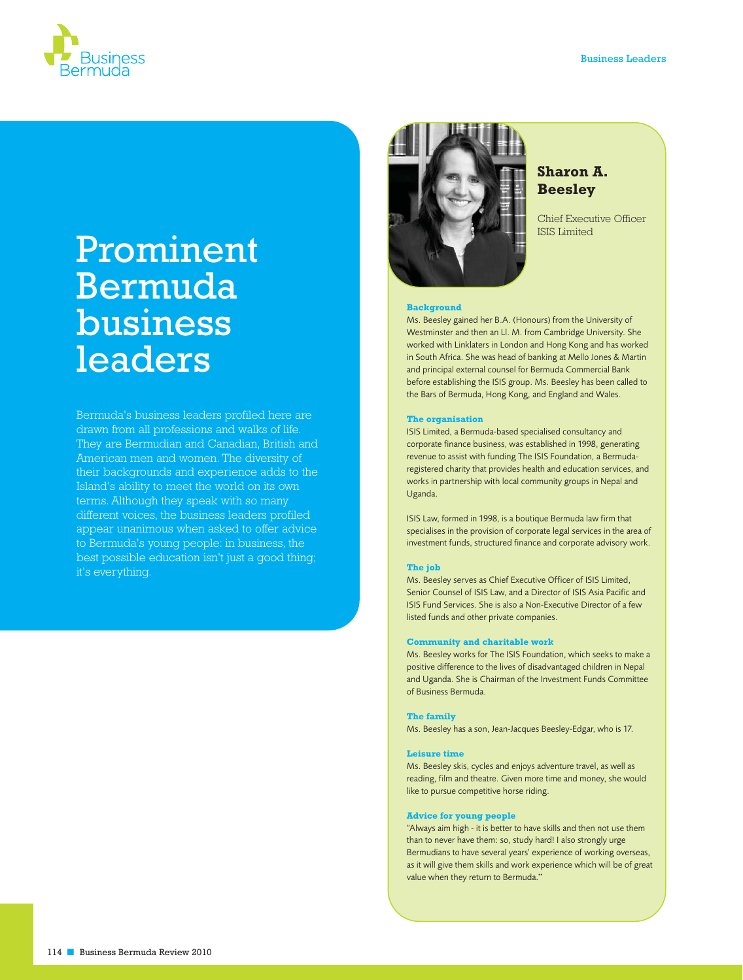

# Prominent Bermuda business leaders

Bermuda's business leaders profiled here are drawn from all professions and walks of life. They are Bermudian and Canadian, British and American men and women. The diversity of their backgrounds and experience adds to the Island's ability to meet the world on its own terms. Although they speak with so many different voices, the business leaders profiled appear unanimous when asked to offer advice to Bermuda's young people: in business, the best possible education isn't just a good thing; it's everything.



# **Sharon A. Beesley**

Chief Executive Officer ISIS Limited

#### **Background**

Ms. Beesley gained her B.A. (Honours) from the University of Westminster and then an Ll. M. from Cambridge University. She worked with Linklaters in London and Hong Kong and has worked in South Africa. She was head of banking at Mello Jones & Martin and principal external counsel for Bermuda Commercial Bank before establishing the ISIS group. Ms. Beesley has been called to the Bars of Bermuda, Hong Kong, and England and Wales.

#### **The organisation**

ISIS Limited, a Bermuda-based specialised consultancy and corporate finance business, was established in 1998, generating revenue to assist with funding The ISIS Foundation, a Bermudaregistered charity that provides health and education services, and works in partnership with local community groups in Nepal and Uganda.

ISIS Law, formed in 1998, is a boutique Bermuda law firm that specialises in the provision of corporate legal services in the area of investment funds, structured finance and corporate advisory work.

#### **The job**

Ms. Beesley serves as Chief Executive Officer of ISIS Limited, Senior Counsel of ISIS Law, and a Director of ISIS Asia Pacific and ISIS Fund Services. She is also a Non-Executive Director of a few listed funds and other private companies.

### **Community and charitable work**

Ms. Beesley works for The ISIS Foundation, which seeks to make a positive difference to the lives of disadvantaged children in Nepal and Uganda. She is Chairman of the Investment Funds Committee of Business Bermuda.

#### **The family**

Ms. Beesley has a son, Jean-Jacques Beesley-Edgar, who is 17.

#### **Leisure time**

Ms. Beesley skis, cycles and enjoys adventure travel, as well as reading, film and theatre. Given more time and money, she would like to pursue competitive horse riding.

#### **Advice for young people**

"Always aim high - it is better to have skills and then not use them than to never have them: so, study hard! I also strongly urge Bermudians to have several years' experience of working overseas, as it will give them skills and work experience which will be of great value when they return to Bermuda."